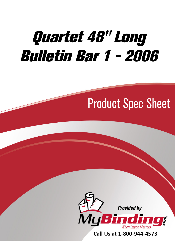# [Quartet 48" Long](https://www.mybinding.com/quartet-long-bulletin-bar-1.html?sku=QRT-2006)  Bulletin Bar 1 - 2006

## Product Spec Sheet



Call Us at 1-800-944-4573